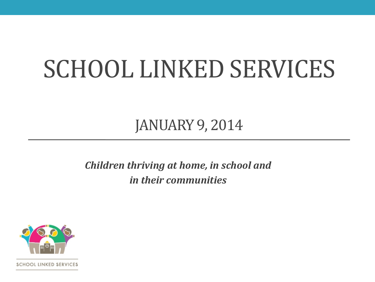# SCHOOL LINKED SERVICES

JANUARY 9, 2014

*Children thriving at home, in school and in their communities*



SCHOOL LINKED SERVICES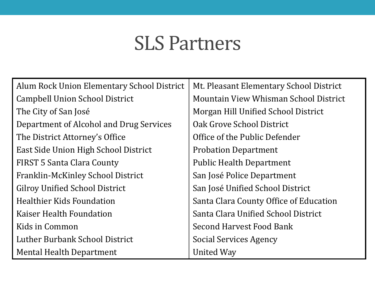### SLS Partners

| Alum Rock Union Elementary School District | Mt. Pleasant Elementary School District |
|--------------------------------------------|-----------------------------------------|
| Campbell Union School District             | Mountain View Whisman School District   |
| The City of San José                       | Morgan Hill Unified School District     |
| Department of Alcohol and Drug Services    | Oak Grove School District               |
| The District Attorney's Office             | Office of the Public Defender           |
| East Side Union High School District       | <b>Probation Department</b>             |
| FIRST 5 Santa Clara County                 | <b>Public Health Department</b>         |
| Franklin-McKinley School District          | San José Police Department              |
| <b>Gilroy Unified School District</b>      | San José Unified School District        |
| <b>Healthier Kids Foundation</b>           | Santa Clara County Office of Education  |
| Kaiser Health Foundation                   | Santa Clara Unified School District     |
| Kids in Common                             | <b>Second Harvest Food Bank</b>         |
| Luther Burbank School District             | Social Services Agency                  |
| Mental Health Department                   | <b>United Way</b>                       |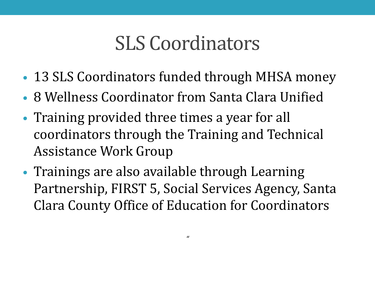# SLS Coordinators

- 13 SLS Coordinators funded through MHSA money
- 8 Wellness Coordinator from Santa Clara Unified
- Training provided three times a year for all coordinators through the Training and Technical Assistance Work Group
- Trainings are also available through Learning Partnership, FIRST 5, Social Services Agency, Santa Clara County Office of Education for Coordinators

*"*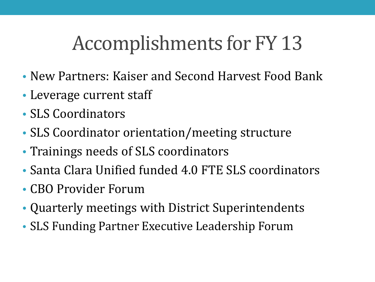# Accomplishments for FY 13

- New Partners: Kaiser and Second Harvest Food Bank
- Leverage current staff
- SLS Coordinators
- SLS Coordinator orientation/meeting structure
- Trainings needs of SLS coordinators
- Santa Clara Unified funded 4.0 FTE SLS coordinators
- CBO Provider Forum
- Quarterly meetings with District Superintendents
- SLS Funding Partner Executive Leadership Forum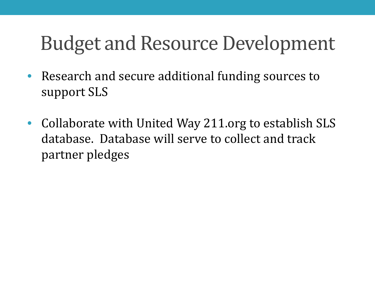# Budget and Resource Development

- Research and secure additional funding sources to support SLS
- Collaborate with United Way 211.org to establish SLS database. Database will serve to collect and track partner pledges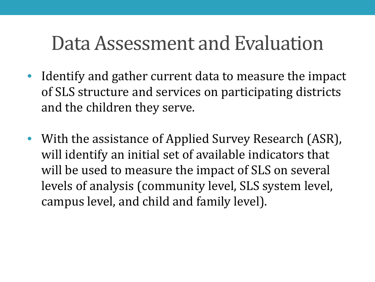# Data Assessment and Evaluation

- Identify and gather current data to measure the impact of SLS structure and services on participating districts and the children they serve.
- With the assistance of Applied Survey Research (ASR), will identify an initial set of available indicators that will be used to measure the impact of SLS on several levels of analysis (community level, SLS system level, campus level, and child and family level).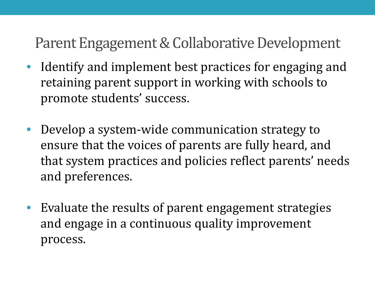#### Parent Engagement & Collaborative Development

- Identify and implement best practices for engaging and retaining parent support in working with schools to promote students' success.
- Develop a system-wide communication strategy to ensure that the voices of parents are fully heard, and that system practices and policies reflect parents' needs and preferences.
- Evaluate the results of parent engagement strategies and engage in a continuous quality improvement process.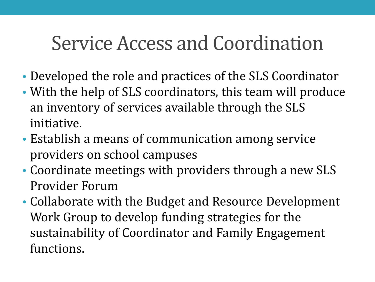# Service Access and Coordination

- Developed the role and practices of the SLS Coordinator
- With the help of SLS coordinators, this team will produce an inventory of services available through the SLS initiative.
- Establish a means of communication among service providers on school campuses
- Coordinate meetings with providers through a new SLS Provider Forum
- Collaborate with the Budget and Resource Development Work Group to develop funding strategies for the sustainability of Coordinator and Family Engagement functions.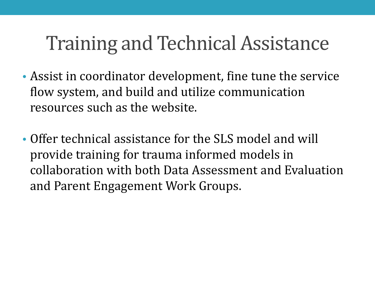# Training and Technical Assistance

- Assist in coordinator development, fine tune the service flow system, and build and utilize communication resources such as the website.
- Offer technical assistance for the SLS model and will provide training for trauma informed models in collaboration with both Data Assessment and Evaluation and Parent Engagement Work Groups.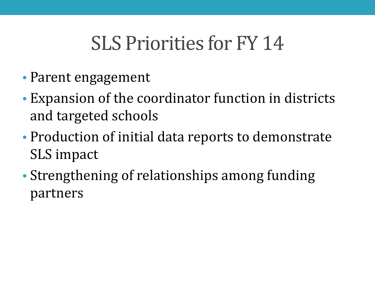# SLS Priorities for FY 14

- Parent engagement
- Expansion of the coordinator function in districts and targeted schools
- Production of initial data reports to demonstrate SLS impact
- Strengthening of relationships among funding partners